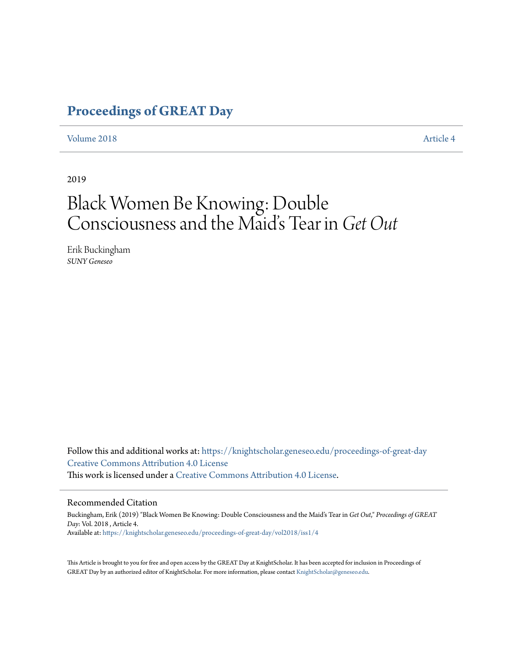# **[Proceedings of GREAT Day](https://knightscholar.geneseo.edu/proceedings-of-great-day?utm_source=knightscholar.geneseo.edu%2Fproceedings-of-great-day%2Fvol2018%2Fiss1%2F4&utm_medium=PDF&utm_campaign=PDFCoverPages)**

#### [Volume 2018](https://knightscholar.geneseo.edu/proceedings-of-great-day/vol2018?utm_source=knightscholar.geneseo.edu%2Fproceedings-of-great-day%2Fvol2018%2Fiss1%2F4&utm_medium=PDF&utm_campaign=PDFCoverPages) [Article 4](https://knightscholar.geneseo.edu/proceedings-of-great-day/vol2018/iss1/4?utm_source=knightscholar.geneseo.edu%2Fproceedings-of-great-day%2Fvol2018%2Fiss1%2F4&utm_medium=PDF&utm_campaign=PDFCoverPages)

2019

# Black Women Be Knowing: Double Consciousness and the Maid's Tear in *Get Out*

Erik Buckingham *SUNY Geneseo*

Follow this and additional works at: [https://knightscholar.geneseo.edu/proceedings-of-great-day](https://knightscholar.geneseo.edu/proceedings-of-great-day?utm_source=knightscholar.geneseo.edu%2Fproceedings-of-great-day%2Fvol2018%2Fiss1%2F4&utm_medium=PDF&utm_campaign=PDFCoverPages) [Creative Commons Attribution 4.0 License](http://creativecommons.org/licenses/by/4.0/) This work is licensed under a [Creative Commons Attribution 4.0 License.](http://creativecommons.org/licenses/by/4.0/)

#### Recommended Citation

Buckingham, Erik (2019) "Black Women Be Knowing: Double Consciousness and the Maid's Tear in *Get Out*," *Proceedings of GREAT Day*: Vol. 2018 , Article 4. Available at: [https://knightscholar.geneseo.edu/proceedings-of-great-day/vol2018/iss1/4](https://knightscholar.geneseo.edu/proceedings-of-great-day/vol2018/iss1/4?utm_source=knightscholar.geneseo.edu%2Fproceedings-of-great-day%2Fvol2018%2Fiss1%2F4&utm_medium=PDF&utm_campaign=PDFCoverPages)

This Article is brought to you for free and open access by the GREAT Day at KnightScholar. It has been accepted for inclusion in Proceedings of GREAT Day by an authorized editor of KnightScholar. For more information, please contact [KnightScholar@geneseo.edu.](mailto:KnightScholar@geneseo.edu)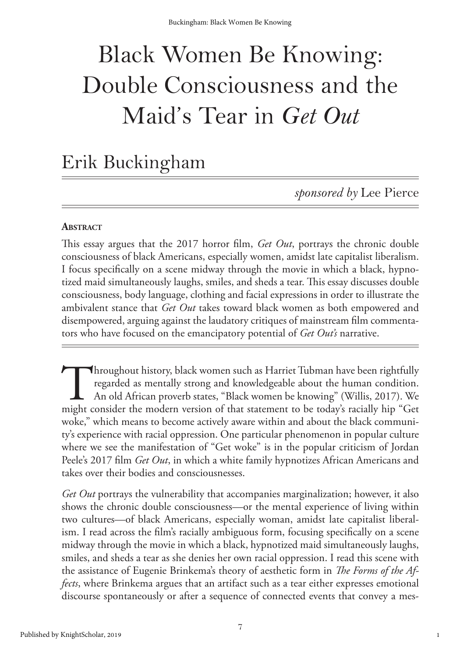# Black Women Be Knowing: Double Consciousness and the Maid's Tear in *Get Out*

# Erik Buckingham

*sponsored by* Lee Pierce

1

#### **Abstract**

This essay argues that the 2017 horror film, *Get Out*, portrays the chronic double consciousness of black Americans, especially women, amidst late capitalist liberalism. I focus specifically on a scene midway through the movie in which a black, hypnotized maid simultaneously laughs, smiles, and sheds a tear. This essay discusses double consciousness, body language, clothing and facial expressions in order to illustrate the ambivalent stance that *Get Out* takes toward black women as both empowered and disempowered, arguing against the laudatory critiques of mainstream film commentators who have focused on the emancipatory potential of *Get Out's* narrative.

Throughout history, black women such as Harriet Tubman have been rightfully regarded as mentally strong and knowledgeable about the human condition.<br>An old African proverb states, "Black women be knowing" (Willis, 2017). W regarded as mentally strong and knowledgeable about the human condition. An old African proverb states, "Black women be knowing" (Willis, 2017). We might consider the modern version of that statement to be today's racially hip "Get woke," which means to become actively aware within and about the black community's experience with racial oppression. One particular phenomenon in popular culture where we see the manifestation of "Get woke" is in the popular criticism of Jordan Peele's 2017 film *Get Out*, in which a white family hypnotizes African Americans and takes over their bodies and consciousnesses.

*Get Out* portrays the vulnerability that accompanies marginalization; however, it also shows the chronic double consciousness—or the mental experience of living within two cultures—of black Americans, especially woman, amidst late capitalist liberalism. I read across the film's racially ambiguous form, focusing specifically on a scene midway through the movie in which a black, hypnotized maid simultaneously laughs, smiles, and sheds a tear as she denies her own racial oppression. I read this scene with the assistance of Eugenie Brinkema's theory of aesthetic form in *The Forms of the Affects*, where Brinkema argues that an artifact such as a tear either expresses emotional discourse spontaneously or after a sequence of connected events that convey a mes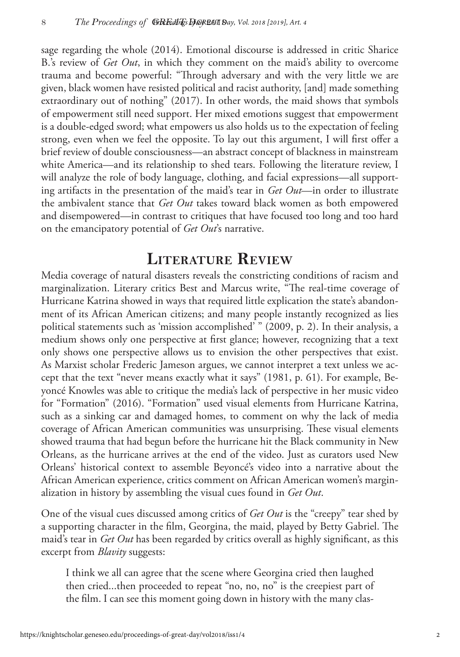sage regarding the whole (2014). Emotional discourse is addressed in critic Sharice B.'s review of *Get Out*, in which they comment on the maid's ability to overcome trauma and become powerful: "Through adversary and with the very little we are given, black women have resisted political and racist authority, [and] made something extraordinary out of nothing" (2017). In other words, the maid shows that symbols of empowerment still need support. Her mixed emotions suggest that empowerment is a double-edged sword; what empowers us also holds us to the expectation of feeling strong, even when we feel the opposite. To lay out this argument, I will first offer a brief review of double consciousness—an abstract concept of blackness in mainstream white America—and its relationship to shed tears. Following the literature review, I will analyze the role of body language, clothing, and facial expressions—all supporting artifacts in the presentation of the maid's tear in *Get Out*—in order to illustrate the ambivalent stance that *Get Out* takes toward black women as both empowered and disempowered—in contrast to critiques that have focused too long and too hard on the emancipatory potential of *Get Out*'s narrative.

# **Literature Review**

Media coverage of natural disasters reveals the constricting conditions of racism and marginalization. Literary critics Best and Marcus write, "The real-time coverage of Hurricane Katrina showed in ways that required little explication the state's abandonment of its African American citizens; and many people instantly recognized as lies political statements such as 'mission accomplished' " (2009, p. 2). In their analysis, a medium shows only one perspective at first glance; however, recognizing that a text only shows one perspective allows us to envision the other perspectives that exist. As Marxist scholar Frederic Jameson argues, we cannot interpret a text unless we accept that the text "never means exactly what it says" (1981, p. 61). For example, Beyoncé Knowles was able to critique the media's lack of perspective in her music video for "Formation" (2016). "Formation" used visual elements from Hurricane Katrina, such as a sinking car and damaged homes, to comment on why the lack of media coverage of African American communities was unsurprising. These visual elements showed trauma that had begun before the hurricane hit the Black community in New Orleans, as the hurricane arrives at the end of the video. Just as curators used New Orleans' historical context to assemble Beyoncé's video into a narrative about the African American experience, critics comment on African American women's marginalization in history by assembling the visual cues found in *Get Out*.

One of the visual cues discussed among critics of *Get Out* is the "creepy" tear shed by a supporting character in the film, Georgina, the maid, played by Betty Gabriel. The maid's tear in *Get Out* has been regarded by critics overall as highly significant, as this excerpt from *Blavity* suggests:

I think we all can agree that the scene where Georgina cried then laughed then cried...then proceeded to repeat "no, no, no" is the creepiest part of the film. I can see this moment going down in history with the many clas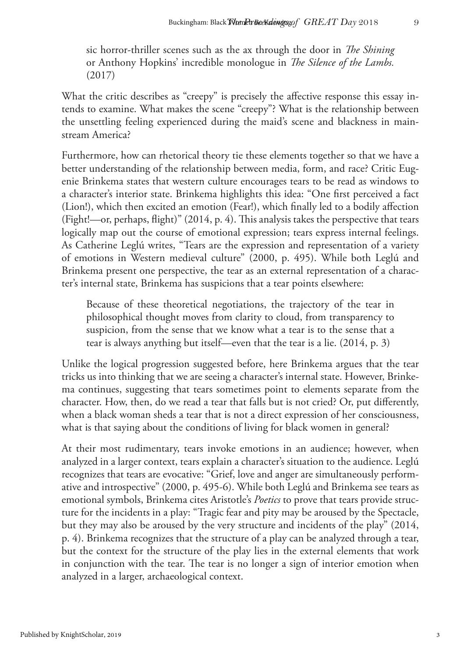sic horror-thriller scenes such as the ax through the door in *The Shining* or Anthony Hopkins' incredible monologue in *The Silence of the Lambs.*  (2017)

What the critic describes as "creepy" is precisely the affective response this essay intends to examine. What makes the scene "creepy"? What is the relationship between the unsettling feeling experienced during the maid's scene and blackness in mainstream America?

Furthermore, how can rhetorical theory tie these elements together so that we have a better understanding of the relationship between media, form, and race? Critic Eugenie Brinkema states that western culture encourages tears to be read as windows to a character's interior state. Brinkema highlights this idea: "One first perceived a fact (Lion!), which then excited an emotion (Fear!), which finally led to a bodily affection (Fight!—or, perhaps, flight)" (2014, p. 4). This analysis takes the perspective that tears logically map out the course of emotional expression; tears express internal feelings. As Catherine Leglú writes, "Tears are the expression and representation of a variety of emotions in Western medieval culture" (2000, p. 495). While both Leglú and Brinkema present one perspective, the tear as an external representation of a character's internal state, Brinkema has suspicions that a tear points elsewhere:

Because of these theoretical negotiations, the trajectory of the tear in philosophical thought moves from clarity to cloud, from transparency to suspicion, from the sense that we know what a tear is to the sense that a tear is always anything but itself—even that the tear is a lie. (2014, p. 3)

Unlike the logical progression suggested before, here Brinkema argues that the tear tricks us into thinking that we are seeing a character's internal state. However, Brinkema continues, suggesting that tears sometimes point to elements separate from the character. How, then, do we read a tear that falls but is not cried? Or, put differently, when a black woman sheds a tear that is not a direct expression of her consciousness, what is that saying about the conditions of living for black women in general?

At their most rudimentary, tears invoke emotions in an audience; however, when analyzed in a larger context, tears explain a character's situation to the audience. Leglú recognizes that tears are evocative: "Grief, love and anger are simultaneously performative and introspective" (2000, p. 495-6). While both Leglú and Brinkema see tears as emotional symbols, Brinkema cites Aristotle's *Poetics* to prove that tears provide structure for the incidents in a play: "Tragic fear and pity may be aroused by the Spectacle, but they may also be aroused by the very structure and incidents of the play" (2014, p. 4). Brinkema recognizes that the structure of a play can be analyzed through a tear, but the context for the structure of the play lies in the external elements that work in conjunction with the tear. The tear is no longer a sign of interior emotion when analyzed in a larger, archaeological context.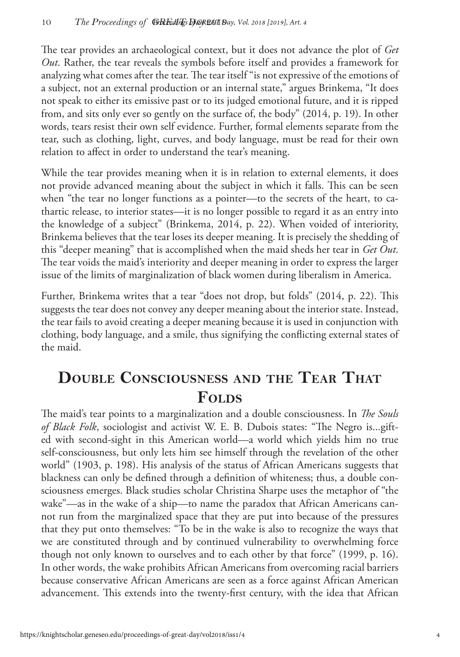The tear provides an archaeological context, but it does not advance the plot of *Get Out*. Rather, the tear reveals the symbols before itself and provides a framework for analyzing what comes after the tear. The tear itself "is not expressive of the emotions of a subject, not an external production or an internal state," argues Brinkema, "It does not speak to either its emissive past or to its judged emotional future, and it is ripped from, and sits only ever so gently on the surface of, the body" (2014, p. 19). In other words, tears resist their own self evidence. Further, formal elements separate from the tear, such as clothing, light, curves, and body language, must be read for their own relation to affect in order to understand the tear's meaning.

While the tear provides meaning when it is in relation to external elements, it does not provide advanced meaning about the subject in which it falls. This can be seen when "the tear no longer functions as a pointer—to the secrets of the heart, to cathartic release, to interior states—it is no longer possible to regard it as an entry into the knowledge of a subject" (Brinkema, 2014, p. 22). When voided of interiority, Brinkema believes that the tear loses its deeper meaning. It is precisely the shedding of this "deeper meaning" that is accomplished when the maid sheds her tear in *Get Out*. The tear voids the maid's interiority and deeper meaning in order to express the larger issue of the limits of marginalization of black women during liberalism in America.

Further, Brinkema writes that a tear "does not drop, but folds" (2014, p. 22). This suggests the tear does not convey any deeper meaning about the interior state. Instead, the tear fails to avoid creating a deeper meaning because it is used in conjunction with clothing, body language, and a smile, thus signifying the conflicting external states of the maid.

# **Double Consciousness and the Tear That FOLDS**

The maid's tear points to a marginalization and a double consciousness. In *The Souls of Black Folk*, sociologist and activist W. E. B. Dubois states: "The Negro is...gifted with second-sight in this American world—a world which yields him no true self-consciousness, but only lets him see himself through the revelation of the other world" (1903, p. 198). His analysis of the status of African Americans suggests that blackness can only be defined through a definition of whiteness; thus, a double consciousness emerges. Black studies scholar Christina Sharpe uses the metaphor of "the wake"—as in the wake of a ship—to name the paradox that African Americans cannot run from the marginalized space that they are put into because of the pressures that they put onto themselves: "To be in the wake is also to recognize the ways that we are constituted through and by continued vulnerability to overwhelming force though not only known to ourselves and to each other by that force" (1999, p. 16). In other words, the wake prohibits African Americans from overcoming racial barriers because conservative African Americans are seen as a force against African American advancement. This extends into the twenty-first century, with the idea that African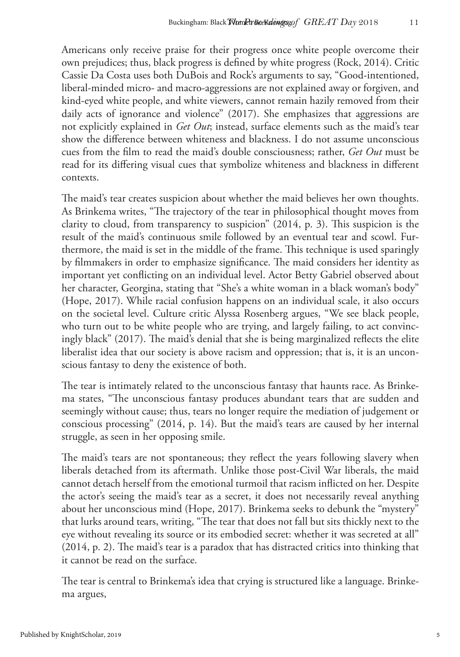Americans only receive praise for their progress once white people overcome their own prejudices; thus, black progress is defined by white progress (Rock, 2014). Critic Cassie Da Costa uses both DuBois and Rock's arguments to say, "Good-intentioned, liberal-minded micro- and macro-aggressions are not explained away or forgiven, and kind-eyed white people, and white viewers, cannot remain hazily removed from their daily acts of ignorance and violence" (2017). She emphasizes that aggressions are not explicitly explained in *Get Out*; instead, surface elements such as the maid's tear show the difference between whiteness and blackness. I do not assume unconscious cues from the film to read the maid's double consciousness; rather, *Get Out* must be read for its differing visual cues that symbolize whiteness and blackness in different contexts.

The maid's tear creates suspicion about whether the maid believes her own thoughts. As Brinkema writes, "The trajectory of the tear in philosophical thought moves from clarity to cloud, from transparency to suspicion" (2014, p. 3). This suspicion is the result of the maid's continuous smile followed by an eventual tear and scowl. Furthermore, the maid is set in the middle of the frame. This technique is used sparingly by filmmakers in order to emphasize significance. The maid considers her identity as important yet conflicting on an individual level. Actor Betty Gabriel observed about her character, Georgina, stating that "She's a white woman in a black woman's body" (Hope, 2017). While racial confusion happens on an individual scale, it also occurs on the societal level. Culture critic Alyssa Rosenberg argues, "We see black people, who turn out to be white people who are trying, and largely failing, to act convincingly black" (2017). The maid's denial that she is being marginalized reflects the elite liberalist idea that our society is above racism and oppression; that is, it is an unconscious fantasy to deny the existence of both.

The tear is intimately related to the unconscious fantasy that haunts race. As Brinkema states, "The unconscious fantasy produces abundant tears that are sudden and seemingly without cause; thus, tears no longer require the mediation of judgement or conscious processing" (2014, p. 14). But the maid's tears are caused by her internal struggle, as seen in her opposing smile.

The maid's tears are not spontaneous; they reflect the years following slavery when liberals detached from its aftermath. Unlike those post-Civil War liberals, the maid cannot detach herself from the emotional turmoil that racism inflicted on her. Despite the actor's seeing the maid's tear as a secret, it does not necessarily reveal anything about her unconscious mind (Hope, 2017). Brinkema seeks to debunk the "mystery" that lurks around tears, writing, "The tear that does not fall but sits thickly next to the eye without revealing its source or its embodied secret: whether it was secreted at all" (2014, p. 2). The maid's tear is a paradox that has distracted critics into thinking that it cannot be read on the surface.

The tear is central to Brinkema's idea that crying is structured like a language. Brinkema argues,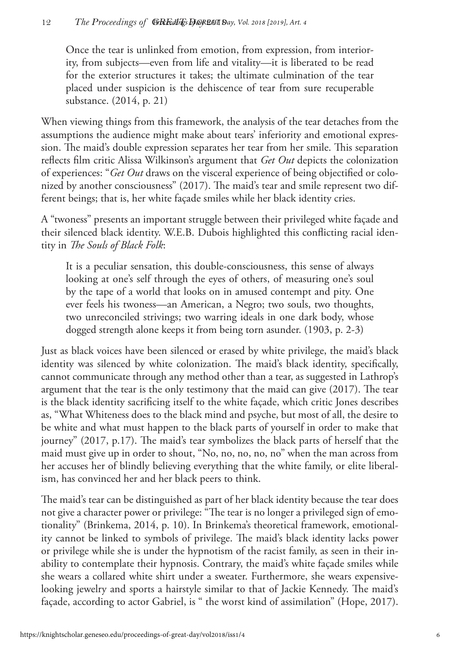Once the tear is unlinked from emotion, from expression, from interiority, from subjects—even from life and vitality—it is liberated to be read for the exterior structures it takes; the ultimate culmination of the tear placed under suspicion is the dehiscence of tear from sure recuperable substance. (2014, p. 21)

When viewing things from this framework, the analysis of the tear detaches from the assumptions the audience might make about tears' inferiority and emotional expression. The maid's double expression separates her tear from her smile. This separation reflects film critic Alissa Wilkinson's argument that *Get Out* depicts the colonization of experiences: "*Get Out* draws on the visceral experience of being objectified or colonized by another consciousness" (2017). The maid's tear and smile represent two different beings; that is, her white façade smiles while her black identity cries.

A "twoness" presents an important struggle between their privileged white façade and their silenced black identity. W.E.B. Dubois highlighted this conflicting racial identity in *The Souls of Black Folk*:

It is a peculiar sensation, this double-consciousness, this sense of always looking at one's self through the eyes of others, of measuring one's soul by the tape of a world that looks on in amused contempt and pity. One ever feels his twoness—an American, a Negro; two souls, two thoughts, two unreconciled strivings; two warring ideals in one dark body, whose dogged strength alone keeps it from being torn asunder. (1903, p. 2-3)

Just as black voices have been silenced or erased by white privilege, the maid's black identity was silenced by white colonization. The maid's black identity, specifically, cannot communicate through any method other than a tear, as suggested in Lathrop's argument that the tear is the only testimony that the maid can give (2017). The tear is the black identity sacrificing itself to the white façade, which critic Jones describes as, "What Whiteness does to the black mind and psyche, but most of all, the desire to be white and what must happen to the black parts of yourself in order to make that journey" (2017, p.17). The maid's tear symbolizes the black parts of herself that the maid must give up in order to shout, "No, no, no, no, no" when the man across from her accuses her of blindly believing everything that the white family, or elite liberalism, has convinced her and her black peers to think.

The maid's tear can be distinguished as part of her black identity because the tear does not give a character power or privilege: "The tear is no longer a privileged sign of emotionality" (Brinkema, 2014, p. 10). In Brinkema's theoretical framework, emotionality cannot be linked to symbols of privilege. The maid's black identity lacks power or privilege while she is under the hypnotism of the racist family, as seen in their inability to contemplate their hypnosis. Contrary, the maid's white façade smiles while she wears a collared white shirt under a sweater. Furthermore, she wears expensivelooking jewelry and sports a hairstyle similar to that of Jackie Kennedy. The maid's façade, according to actor Gabriel, is " the worst kind of assimilation" (Hope, 2017).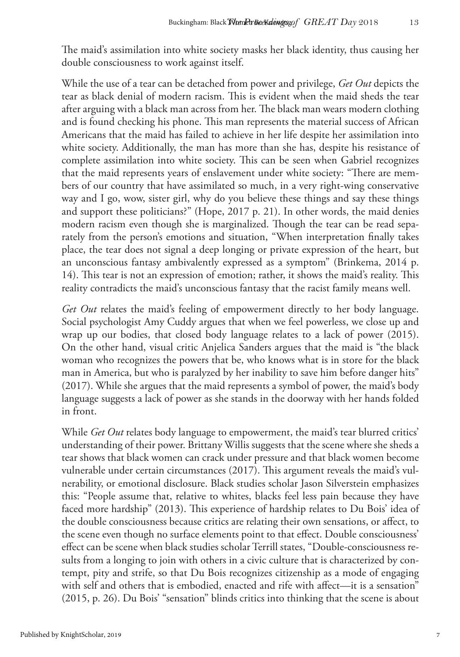The maid's assimilation into white society masks her black identity, thus causing her double consciousness to work against itself.

While the use of a tear can be detached from power and privilege, *Get Out* depicts the tear as black denial of modern racism. This is evident when the maid sheds the tear after arguing with a black man across from her. The black man wears modern clothing and is found checking his phone. This man represents the material success of African Americans that the maid has failed to achieve in her life despite her assimilation into white society. Additionally, the man has more than she has, despite his resistance of complete assimilation into white society. This can be seen when Gabriel recognizes that the maid represents years of enslavement under white society: "There are members of our country that have assimilated so much, in a very right-wing conservative way and I go, wow, sister girl, why do you believe these things and say these things and support these politicians?" (Hope, 2017 p. 21). In other words, the maid denies modern racism even though she is marginalized. Though the tear can be read separately from the person's emotions and situation, "When interpretation finally takes place, the tear does not signal a deep longing or private expression of the heart, but an unconscious fantasy ambivalently expressed as a symptom" (Brinkema, 2014 p. 14). This tear is not an expression of emotion; rather, it shows the maid's reality. This reality contradicts the maid's unconscious fantasy that the racist family means well.

*Get Out* relates the maid's feeling of empowerment directly to her body language. Social psychologist Amy Cuddy argues that when we feel powerless, we close up and wrap up our bodies, that closed body language relates to a lack of power (2015). On the other hand, visual critic Anjelica Sanders argues that the maid is "the black woman who recognizes the powers that be, who knows what is in store for the black man in America, but who is paralyzed by her inability to save him before danger hits" (2017). While she argues that the maid represents a symbol of power, the maid's body language suggests a lack of power as she stands in the doorway with her hands folded in front.

While *Get Out* relates body language to empowerment, the maid's tear blurred critics' understanding of their power. Brittany Willis suggests that the scene where she sheds a tear shows that black women can crack under pressure and that black women become vulnerable under certain circumstances (2017). This argument reveals the maid's vulnerability, or emotional disclosure. Black studies scholar Jason Silverstein emphasizes this: "People assume that, relative to whites, blacks feel less pain because they have faced more hardship" (2013). This experience of hardship relates to Du Bois' idea of the double consciousness because critics are relating their own sensations, or affect, to the scene even though no surface elements point to that effect. Double consciousness' effect can be scene when black studies scholar Terrill states, "Double-consciousness results from a longing to join with others in a civic culture that is characterized by contempt, pity and strife, so that Du Bois recognizes citizenship as a mode of engaging with self and others that is embodied, enacted and rife with affect—it is a sensation" (2015, p. 26). Du Bois' "sensation" blinds critics into thinking that the scene is about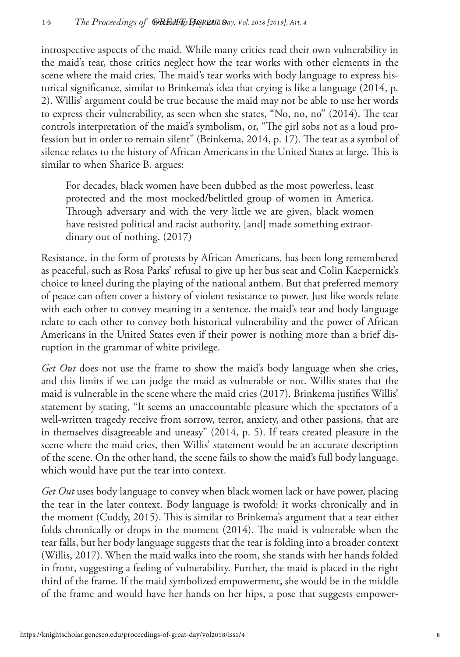introspective aspects of the maid. While many critics read their own vulnerability in the maid's tear, those critics neglect how the tear works with other elements in the scene where the maid cries. The maid's tear works with body language to express historical significance, similar to Brinkema's idea that crying is like a language (2014, p. 2). Willis' argument could be true because the maid may not be able to use her words to express their vulnerability, as seen when she states, "No, no, no" (2014). The tear controls interpretation of the maid's symbolism, or, "The girl sobs not as a loud profession but in order to remain silent" (Brinkema, 2014, p. 17). The tear as a symbol of silence relates to the history of African Americans in the United States at large. This is similar to when Sharice B. argues:

For decades, black women have been dubbed as the most powerless, least protected and the most mocked/belittled group of women in America. Through adversary and with the very little we are given, black women have resisted political and racist authority, [and] made something extraordinary out of nothing. (2017)

Resistance, in the form of protests by African Americans, has been long remembered as peaceful, such as Rosa Parks' refusal to give up her bus seat and Colin Kaepernick's choice to kneel during the playing of the national anthem. But that preferred memory of peace can often cover a history of violent resistance to power. Just like words relate with each other to convey meaning in a sentence, the maid's tear and body language relate to each other to convey both historical vulnerability and the power of African Americans in the United States even if their power is nothing more than a brief disruption in the grammar of white privilege.

*Get Out* does not use the frame to show the maid's body language when she cries, and this limits if we can judge the maid as vulnerable or not. Willis states that the maid is vulnerable in the scene where the maid cries (2017). Brinkema justifies Willis' statement by stating, "It seems an unaccountable pleasure which the spectators of a well-written tragedy receive from sorrow, terror, anxiety, and other passions, that are in themselves disagreeable and uneasy" (2014, p. 5). If tears created pleasure in the scene where the maid cries, then Willis' statement would be an accurate description of the scene. On the other hand, the scene fails to show the maid's full body language, which would have put the tear into context.

*Get Out* uses body language to convey when black women lack or have power, placing the tear in the later context. Body language is twofold: it works chronically and in the moment (Cuddy, 2015). This is similar to Brinkema's argument that a tear either folds chronically or drops in the moment (2014). The maid is vulnerable when the tear falls, but her body language suggests that the tear is folding into a broader context (Willis, 2017). When the maid walks into the room, she stands with her hands folded in front, suggesting a feeling of vulnerability. Further, the maid is placed in the right third of the frame. If the maid symbolized empowerment, she would be in the middle of the frame and would have her hands on her hips, a pose that suggests empower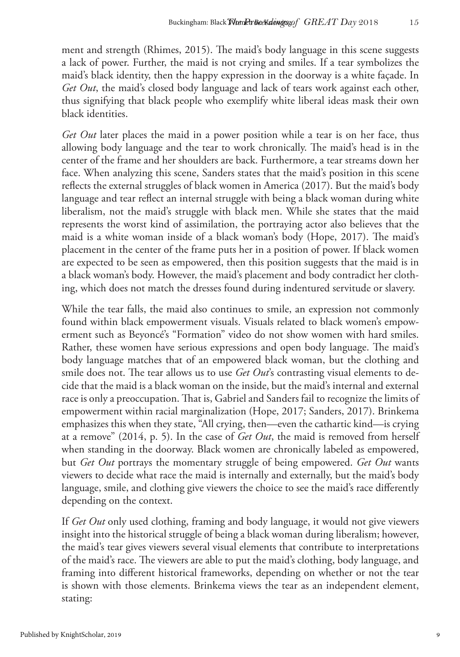ment and strength (Rhimes, 2015). The maid's body language in this scene suggests a lack of power. Further, the maid is not crying and smiles. If a tear symbolizes the maid's black identity, then the happy expression in the doorway is a white façade. In *Get Out*, the maid's closed body language and lack of tears work against each other, thus signifying that black people who exemplify white liberal ideas mask their own black identities.

*Get Out* later places the maid in a power position while a tear is on her face, thus allowing body language and the tear to work chronically. The maid's head is in the center of the frame and her shoulders are back. Furthermore, a tear streams down her face. When analyzing this scene, Sanders states that the maid's position in this scene reflects the external struggles of black women in America (2017). But the maid's body language and tear reflect an internal struggle with being a black woman during white liberalism, not the maid's struggle with black men. While she states that the maid represents the worst kind of assimilation, the portraying actor also believes that the maid is a white woman inside of a black woman's body (Hope, 2017). The maid's placement in the center of the frame puts her in a position of power. If black women are expected to be seen as empowered, then this position suggests that the maid is in a black woman's body. However, the maid's placement and body contradict her clothing, which does not match the dresses found during indentured servitude or slavery.

While the tear falls, the maid also continues to smile, an expression not commonly found within black empowerment visuals. Visuals related to black women's empowerment such as Beyoncé's "Formation" video do not show women with hard smiles. Rather, these women have serious expressions and open body language. The maid's body language matches that of an empowered black woman, but the clothing and smile does not. The tear allows us to use *Get Out*'s contrasting visual elements to decide that the maid is a black woman on the inside, but the maid's internal and external race is only a preoccupation. That is, Gabriel and Sanders fail to recognize the limits of empowerment within racial marginalization (Hope, 2017; Sanders, 2017). Brinkema emphasizes this when they state, "All crying, then—even the cathartic kind—is crying at a remove" (2014, p. 5). In the case of *Get Out*, the maid is removed from herself when standing in the doorway. Black women are chronically labeled as empowered, but *Get Out* portrays the momentary struggle of being empowered. *Get Out* wants viewers to decide what race the maid is internally and externally, but the maid's body language, smile, and clothing give viewers the choice to see the maid's race differently depending on the context.

If *Get Out* only used clothing, framing and body language, it would not give viewers insight into the historical struggle of being a black woman during liberalism; however, the maid's tear gives viewers several visual elements that contribute to interpretations of the maid's race. The viewers are able to put the maid's clothing, body language, and framing into different historical frameworks, depending on whether or not the tear is shown with those elements. Brinkema views the tear as an independent element, stating: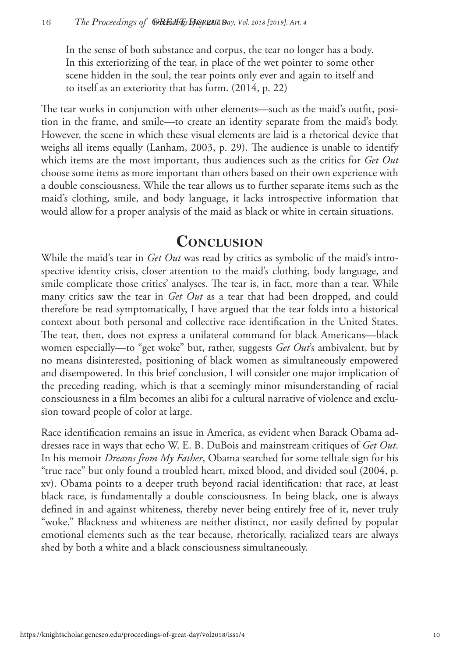In the sense of both substance and corpus, the tear no longer has a body. In this exteriorizing of the tear, in place of the wet pointer to some other scene hidden in the soul, the tear points only ever and again to itself and to itself as an exteriority that has form. (2014, p. 22)

The tear works in conjunction with other elements—such as the maid's outfit, position in the frame, and smile—to create an identity separate from the maid's body. However, the scene in which these visual elements are laid is a rhetorical device that weighs all items equally (Lanham, 2003, p. 29). The audience is unable to identify which items are the most important, thus audiences such as the critics for *Get Out* choose some items as more important than others based on their own experience with a double consciousness. While the tear allows us to further separate items such as the maid's clothing, smile, and body language, it lacks introspective information that would allow for a proper analysis of the maid as black or white in certain situations.

## **Concl usion**

While the maid's tear in *Get Out* was read by critics as symbolic of the maid's introspective identity crisis, closer attention to the maid's clothing, body language, and smile complicate those critics' analyses. The tear is, in fact, more than a tear. While many critics saw the tear in *Get Out* as a tear that had been dropped, and could therefore be read symptomatically, I have argued that the tear folds into a historical context about both personal and collective race identification in the United States. The tear, then, does not express a unilateral command for black Americans—black women especially—to "get woke" but, rather, suggests *Get Out*'s ambivalent, but by no means disinterested, positioning of black women as simultaneously empowered and disempowered. In this brief conclusion, I will consider one major implication of the preceding reading, which is that a seemingly minor misunderstanding of racial consciousness in a film becomes an alibi for a cultural narrative of violence and exclusion toward people of color at large.

Race identification remains an issue in America, as evident when Barack Obama addresses race in ways that echo W. E. B. DuBois and mainstream critiques of *Get Out*. In his memoir *Dreams from My Father*, Obama searched for some telltale sign for his "true race" but only found a troubled heart, mixed blood, and divided soul (2004, p. xv). Obama points to a deeper truth beyond racial identification: that race, at least black race, is fundamentally a double consciousness. In being black, one is always defined in and against whiteness, thereby never being entirely free of it, never truly "woke." Blackness and whiteness are neither distinct, nor easily defined by popular emotional elements such as the tear because, rhetorically, racialized tears are always shed by both a white and a black consciousness simultaneously.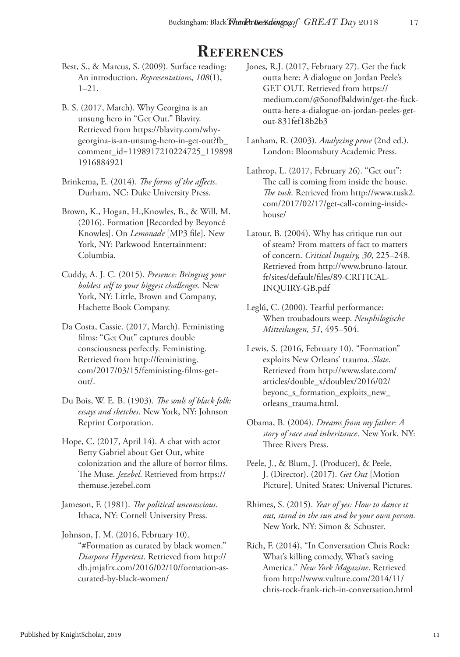### **References**

- Best, S., & Marcus, S. (2009). Surface reading: An introduction. *Representations*, *108*(1), 1–21.
- B. S. (2017, March). Why Georgina is an unsung hero in "Get Out." Blavity. Retrieved from https://blavity.com/whygeorgina-is-an-unsung-hero-in-get-out?fb\_ comment\_id=1198917210224725\_119898 1916884921
- Brinkema, E. (2014). *The forms of the affects*. Durham, NC: Duke University Press.
- Brown, K., Hogan, H.,Knowles, B., & Will, M. (2016). Formation [Recorded by Beyoncé Knowles]. On *Lemonade* [MP3 file]. New York, NY: Parkwood Entertainment: Columbia.
- Cuddy, A. J. C. (2015). *Presence: Bringing your boldest self to your biggest challenges.* New York, NY: Little, Brown and Company, Hachette Book Company.
- Da Costa, Cassie. (2017, March). Feministing films: "Get Out" captures double consciousness perfectly. Feministing. Retrieved from http://feministing. com/2017/03/15/feministing-films-getout/.
- Du Bois, W. E. B. (1903). *The souls of black folk; essays and sketches*. New York, NY: Johnson Reprint Corporation.
- Hope, C. (2017, April 14). A chat with actor Betty Gabriel about Get Out, white colonization and the allure of horror films. The Muse. *Jezebel*. Retrieved from https:// themuse.jezebel.com
- Jameson, F. (1981). *The political unconscious*. Ithaca, NY: Cornell University Press.
- Johnson, J. M. (2016, February 10). "#Formation as curated by black women." *Diaspora Hypertext*. Retrieved from http:// dh.jmjafrx.com/2016/02/10/formation-ascurated-by-black-women/
- Jones, R.J. (2017, February 27). Get the fuck outta here: A dialogue on Jordan Peele's GET OUT. Retrieved from https:// medium.com/@SonofBaldwin/get-the-fuckoutta-here-a-dialogue-on-jordan-peeles-getout-831fef18b2b3
- Lanham, R. (2003). *Analyzing prose* (2nd ed.). London: Bloomsbury Academic Press.
- Lathrop, L. (2017, February 26). "Get out": The call is coming from inside the house. *The tusk*. Retrieved from http://www.tusk2. com/2017/02/17/get-call-coming-insidehouse/
- Latour, B. (2004). Why has critique run out of steam? From matters of fact to matters of concern. *Critical Inquiry, 30*, 225–248. Retrieved from http://www.bruno-latour. fr/sites/default/files/89-CRITICAL-INQUIRY-GB.pdf
- Leglú, C. (2000). Tearful performance: When troubadours weep. *Neuphilogische Mitteilungen, 51*, 495–504.
- Lewis, S. (2016, February 10). "Formation" exploits New Orleans' trauma. *Slate*. Retrieved from http://www.slate.com/ articles/double\_x/doublex/2016/02/ beyonc\_s\_formation\_exploits\_new\_ orleans\_trauma.html.
- Obama, B. (2004). *Dreams from my father: A story of race and inheritance*. New York, NY: Three Rivers Press.
- Peele, J., & Blum, J. (Producer), & Peele, J. (Director). (2017). *Get Out* [Motion Picture]. United States: Universal Pictures.
- Rhimes, S. (2015). *Year of yes: How to dance it out, stand in the sun and be your own person.*  New York, NY: Simon & Schuster.
- Rich, F. (2014), "In Conversation Chris Rock: What's killing comedy, What's saving America." *New York Magazine*. Retrieved from http://www.vulture.com/2014/11/ chris-rock-frank-rich-in-conversation.html